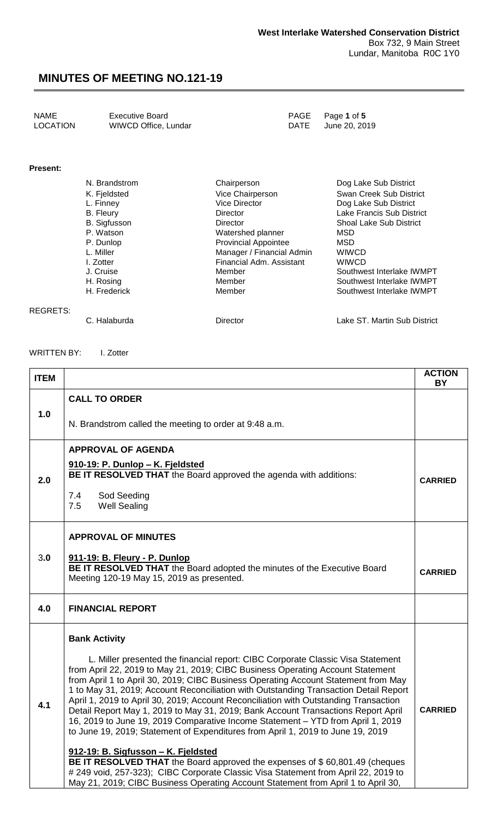| NAME            | <b>Executive Board</b> | PAGE Page 1 of 5   |
|-----------------|------------------------|--------------------|
| <b>LOCATION</b> | WIWCD Office, Lundar   | DATE June 20, 2019 |

#### **Present:**

| N. Brandstrom       | Chairperson                 | Dog Lake Sub District          |
|---------------------|-----------------------------|--------------------------------|
| K. Fjeldsted        | Vice Chairperson            | Swan Creek Sub District        |
| L. Finney           | Vice Director               | Dog Lake Sub District          |
| <b>B.</b> Fleury    | Director                    | Lake Francis Sub District      |
| <b>B.</b> Sigfusson | Director                    | <b>Shoal Lake Sub District</b> |
| P. Watson           | Watershed planner           | MSD                            |
| P. Dunlop           | <b>Provincial Appointee</b> | MSD                            |
| L. Miller           | Manager / Financial Admin   | <b>WIWCD</b>                   |
| I. Zotter           | Financial Adm. Assistant    | <b>WIWCD</b>                   |
| J. Cruise           | Member                      | Southwest Interlake IWMPT      |
| H. Rosing           | Member                      | Southwest Interlake IWMPT      |
| H. Frederick        | Member                      | Southwest Interlake IWMPT      |

#### REGRETS:

C. Halaburda **Director** Director **Lake ST. Martin Sub District** 

#### WRITTEN BY: I. Zotter

| <b>ITEM</b> |                                                                                                                                                                                                                                                                                                                                                                                                                                                                                                                                                                                                                                                                                                    | <b>ACTION</b><br><b>BY</b> |
|-------------|----------------------------------------------------------------------------------------------------------------------------------------------------------------------------------------------------------------------------------------------------------------------------------------------------------------------------------------------------------------------------------------------------------------------------------------------------------------------------------------------------------------------------------------------------------------------------------------------------------------------------------------------------------------------------------------------------|----------------------------|
| 1.0         | <b>CALL TO ORDER</b>                                                                                                                                                                                                                                                                                                                                                                                                                                                                                                                                                                                                                                                                               |                            |
|             | N. Brandstrom called the meeting to order at 9:48 a.m.                                                                                                                                                                                                                                                                                                                                                                                                                                                                                                                                                                                                                                             |                            |
|             | <b>APPROVAL OF AGENDA</b>                                                                                                                                                                                                                                                                                                                                                                                                                                                                                                                                                                                                                                                                          |                            |
| 2.0         | 910-19: P. Dunlop - K. Fjeldsted<br>BE IT RESOLVED THAT the Board approved the agenda with additions:                                                                                                                                                                                                                                                                                                                                                                                                                                                                                                                                                                                              | <b>CARRIED</b>             |
|             | Sod Seeding<br>7.4<br><b>Well Sealing</b><br>7.5                                                                                                                                                                                                                                                                                                                                                                                                                                                                                                                                                                                                                                                   |                            |
|             | <b>APPROVAL OF MINUTES</b>                                                                                                                                                                                                                                                                                                                                                                                                                                                                                                                                                                                                                                                                         |                            |
| 3.0         | 911-19: B. Fleury - P. Dunlop<br>BE IT RESOLVED THAT the Board adopted the minutes of the Executive Board<br>Meeting 120-19 May 15, 2019 as presented.                                                                                                                                                                                                                                                                                                                                                                                                                                                                                                                                             | <b>CARRIED</b>             |
| 4.0         | <b>FINANCIAL REPORT</b>                                                                                                                                                                                                                                                                                                                                                                                                                                                                                                                                                                                                                                                                            |                            |
|             | <b>Bank Activity</b>                                                                                                                                                                                                                                                                                                                                                                                                                                                                                                                                                                                                                                                                               |                            |
| 4.1         | L. Miller presented the financial report: CIBC Corporate Classic Visa Statement<br>from April 22, 2019 to May 21, 2019; CIBC Business Operating Account Statement<br>from April 1 to April 30, 2019; CIBC Business Operating Account Statement from May<br>1 to May 31, 2019; Account Reconciliation with Outstanding Transaction Detail Report<br>April 1, 2019 to April 30, 2019; Account Reconciliation with Outstanding Transaction<br>Detail Report May 1, 2019 to May 31, 2019; Bank Account Transactions Report April<br>16, 2019 to June 19, 2019 Comparative Income Statement - YTD from April 1, 2019<br>to June 19, 2019; Statement of Expenditures from April 1, 2019 to June 19, 2019 |                            |
|             | 912-19: B. Sigfusson - K. Fjeldsted<br>BE IT RESOLVED THAT the Board approved the expenses of \$60,801.49 (cheques<br># 249 void, 257-323); CIBC Corporate Classic Visa Statement from April 22, 2019 to<br>May 21, 2019; CIBC Business Operating Account Statement from April 1 to April 30,                                                                                                                                                                                                                                                                                                                                                                                                      |                            |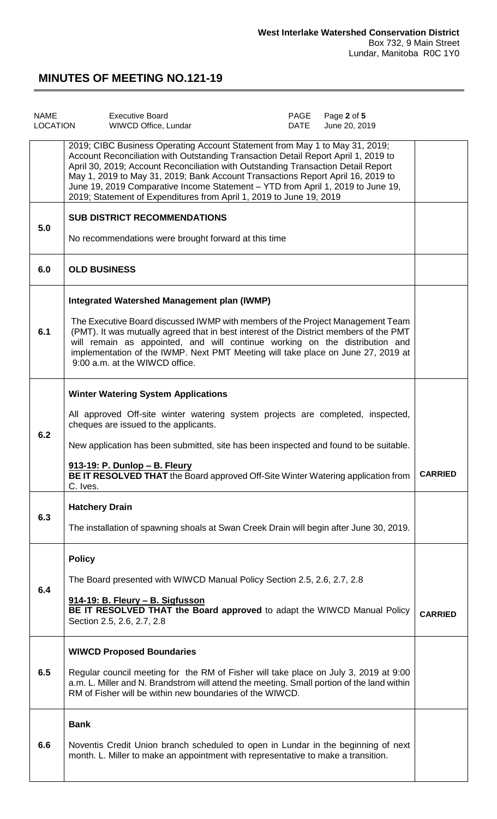| <b>NAME</b><br>LOCATION | <b>Executive Board</b><br>DATE<br>WIWCD Office, Lundar                                                                                                                                                                                                                                                                                                                                                                                                                                              | PAGE | Page 2 of 5<br>June 20, 2019 |                |
|-------------------------|-----------------------------------------------------------------------------------------------------------------------------------------------------------------------------------------------------------------------------------------------------------------------------------------------------------------------------------------------------------------------------------------------------------------------------------------------------------------------------------------------------|------|------------------------------|----------------|
|                         | 2019; CIBC Business Operating Account Statement from May 1 to May 31, 2019;<br>Account Reconciliation with Outstanding Transaction Detail Report April 1, 2019 to<br>April 30, 2019; Account Reconciliation with Outstanding Transaction Detail Report<br>May 1, 2019 to May 31, 2019; Bank Account Transactions Report April 16, 2019 to<br>June 19, 2019 Comparative Income Statement - YTD from April 1, 2019 to June 19,<br>2019; Statement of Expenditures from April 1, 2019 to June 19, 2019 |      |                              |                |
| 5.0                     | <b>SUB DISTRICT RECOMMENDATIONS</b><br>No recommendations were brought forward at this time                                                                                                                                                                                                                                                                                                                                                                                                         |      |                              |                |
| 6.0                     | <b>OLD BUSINESS</b>                                                                                                                                                                                                                                                                                                                                                                                                                                                                                 |      |                              |                |
| 6.1                     | Integrated Watershed Management plan (IWMP)<br>The Executive Board discussed IWMP with members of the Project Management Team<br>(PMT). It was mutually agreed that in best interest of the District members of the PMT<br>will remain as appointed, and will continue working on the distribution and<br>implementation of the IWMP. Next PMT Meeting will take place on June 27, 2019 at<br>9:00 a.m. at the WIWCD office.                                                                        |      |                              |                |
| 6.2                     | <b>Winter Watering System Applications</b><br>All approved Off-site winter watering system projects are completed, inspected,<br>cheques are issued to the applicants.<br>New application has been submitted, site has been inspected and found to be suitable.<br>913-19: P. Dunlop - B. Fleury<br><b>BE IT RESOLVED THAT</b> the Board approved Off-Site Winter Watering application from<br>C. Ives.                                                                                             |      |                              | <b>CARRIED</b> |
| 6.3                     | <b>Hatchery Drain</b><br>The installation of spawning shoals at Swan Creek Drain will begin after June 30, 2019.                                                                                                                                                                                                                                                                                                                                                                                    |      |                              |                |
| 6.4                     | <b>Policy</b><br>The Board presented with WIWCD Manual Policy Section 2.5, 2.6, 2.7, 2.8<br>914-19: B. Fleury - B. Sigfusson<br>BE IT RESOLVED THAT the Board approved to adapt the WIWCD Manual Policy<br>Section 2.5, 2.6, 2.7, 2.8                                                                                                                                                                                                                                                               |      |                              | <b>CARRIED</b> |
| 6.5                     | <b>WIWCD Proposed Boundaries</b><br>Regular council meeting for the RM of Fisher will take place on July 3, 2019 at 9:00<br>a.m. L. Miller and N. Brandstrom will attend the meeting. Small portion of the land within<br>RM of Fisher will be within new boundaries of the WIWCD.                                                                                                                                                                                                                  |      |                              |                |
| 6.6                     | <b>Bank</b><br>Noventis Credit Union branch scheduled to open in Lundar in the beginning of next<br>month. L. Miller to make an appointment with representative to make a transition.                                                                                                                                                                                                                                                                                                               |      |                              |                |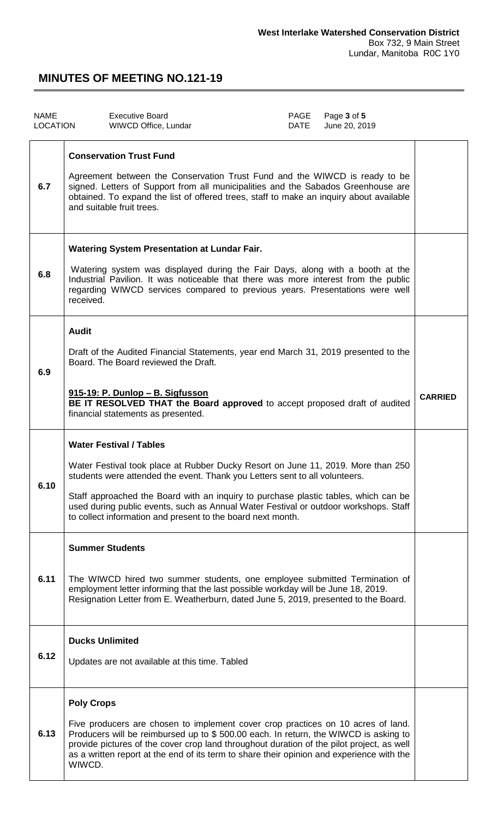| <b>NAME</b><br>LOCATION |                                                                                                                                                                                                                                                                                                                           | <b>Executive Board</b><br>WIWCD Office, Lundar                                                                                                                                                                                                                                                                                                                                                                                                  | PAGE<br>DATE | Page 3 of 5<br>June 20, 2019 |                |
|-------------------------|---------------------------------------------------------------------------------------------------------------------------------------------------------------------------------------------------------------------------------------------------------------------------------------------------------------------------|-------------------------------------------------------------------------------------------------------------------------------------------------------------------------------------------------------------------------------------------------------------------------------------------------------------------------------------------------------------------------------------------------------------------------------------------------|--------------|------------------------------|----------------|
| 6.7                     | <b>Conservation Trust Fund</b><br>Agreement between the Conservation Trust Fund and the WIWCD is ready to be<br>signed. Letters of Support from all municipalities and the Sabados Greenhouse are<br>obtained. To expand the list of offered trees, staff to make an inquiry about available<br>and suitable fruit trees. |                                                                                                                                                                                                                                                                                                                                                                                                                                                 |              |                              |                |
| 6.8                     | <b>Watering System Presentation at Lundar Fair.</b><br>Watering system was displayed during the Fair Days, along with a booth at the<br>Industrial Pavilion. It was noticeable that there was more interest from the public<br>regarding WIWCD services compared to previous years. Presentations were well<br>received.  |                                                                                                                                                                                                                                                                                                                                                                                                                                                 |              |                              |                |
| 6.9                     | <b>Audit</b>                                                                                                                                                                                                                                                                                                              | Draft of the Audited Financial Statements, year end March 31, 2019 presented to the<br>Board. The Board reviewed the Draft.<br>915-19: P. Dunlop - B. Sigfusson<br>BE IT RESOLVED THAT the Board approved to accept proposed draft of audited<br>financial statements as presented.                                                                                                                                                             |              |                              | <b>CARRIED</b> |
| 6.10                    |                                                                                                                                                                                                                                                                                                                           | <b>Water Festival / Tables</b><br>Water Festival took place at Rubber Ducky Resort on June 11, 2019. More than 250<br>students were attended the event. Thank you Letters sent to all volunteers.<br>Staff approached the Board with an inquiry to purchase plastic tables, which can be<br>used during public events, such as Annual Water Festival or outdoor workshops. Staff<br>to collect information and present to the board next month. |              |                              |                |
| 6.11                    |                                                                                                                                                                                                                                                                                                                           | <b>Summer Students</b><br>The WIWCD hired two summer students, one employee submitted Termination of<br>employment letter informing that the last possible workday will be June 18, 2019.<br>Resignation Letter from E. Weatherburn, dated June 5, 2019, presented to the Board.                                                                                                                                                                |              |                              |                |
| 6.12                    |                                                                                                                                                                                                                                                                                                                           | <b>Ducks Unlimited</b><br>Updates are not available at this time. Tabled                                                                                                                                                                                                                                                                                                                                                                        |              |                              |                |
| 6.13                    | <b>Poly Crops</b><br>WIWCD.                                                                                                                                                                                                                                                                                               | Five producers are chosen to implement cover crop practices on 10 acres of land.<br>Producers will be reimbursed up to \$500.00 each. In return, the WIWCD is asking to<br>provide pictures of the cover crop land throughout duration of the pilot project, as well<br>as a written report at the end of its term to share their opinion and experience with the                                                                               |              |                              |                |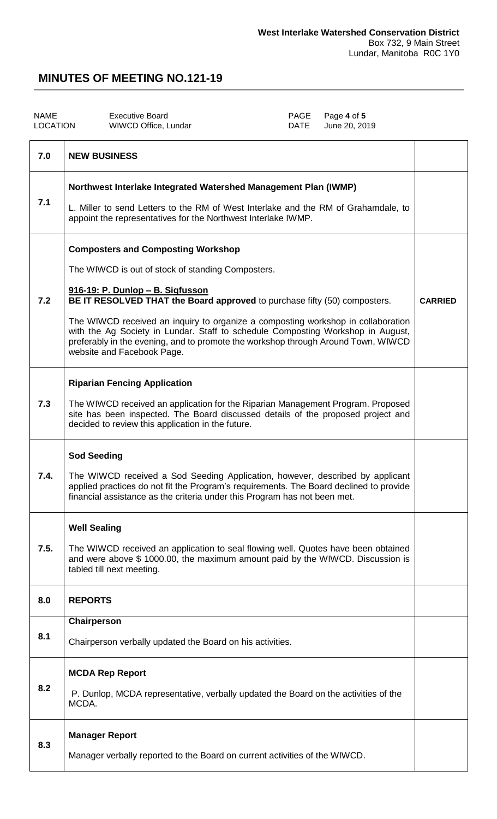| <b>NAME</b><br><b>LOCATION</b> | <b>Executive Board</b><br>PAGE<br>Page 4 of 5<br>June 20, 2019<br>WIWCD Office, Lundar<br><b>DATE</b>                                                                                                                                                                                                                                                                                                                                                                                                     |                |
|--------------------------------|-----------------------------------------------------------------------------------------------------------------------------------------------------------------------------------------------------------------------------------------------------------------------------------------------------------------------------------------------------------------------------------------------------------------------------------------------------------------------------------------------------------|----------------|
| 7.0                            | <b>NEW BUSINESS</b>                                                                                                                                                                                                                                                                                                                                                                                                                                                                                       |                |
| 7.1                            | Northwest Interlake Integrated Watershed Management Plan (IWMP)<br>L. Miller to send Letters to the RM of West Interlake and the RM of Grahamdale, to<br>appoint the representatives for the Northwest Interlake IWMP.                                                                                                                                                                                                                                                                                    |                |
| 7.2                            | <b>Composters and Composting Workshop</b><br>The WIWCD is out of stock of standing Composters.<br>916-19: P. Dunlop - B. Sigfusson<br>BE IT RESOLVED THAT the Board approved to purchase fifty (50) composters.<br>The WIWCD received an inquiry to organize a composting workshop in collaboration<br>with the Ag Society in Lundar. Staff to schedule Composting Workshop in August,<br>preferably in the evening, and to promote the workshop through Around Town, WIWCD<br>website and Facebook Page. | <b>CARRIED</b> |
| 7.3                            | <b>Riparian Fencing Application</b><br>The WIWCD received an application for the Riparian Management Program. Proposed<br>site has been inspected. The Board discussed details of the proposed project and<br>decided to review this application in the future.                                                                                                                                                                                                                                           |                |
| 7.4.                           | <b>Sod Seeding</b><br>The WIWCD received a Sod Seeding Application, however, described by applicant<br>applied practices do not fit the Program's requirements. The Board declined to provide<br>financial assistance as the criteria under this Program has not been met.                                                                                                                                                                                                                                |                |
| 7.5.                           | <b>Well Sealing</b><br>The WIWCD received an application to seal flowing well. Quotes have been obtained<br>and were above \$1000.00, the maximum amount paid by the WIWCD. Discussion is<br>tabled till next meeting.                                                                                                                                                                                                                                                                                    |                |
| 8.0                            | <b>REPORTS</b>                                                                                                                                                                                                                                                                                                                                                                                                                                                                                            |                |
| 8.1                            | Chairperson<br>Chairperson verbally updated the Board on his activities.                                                                                                                                                                                                                                                                                                                                                                                                                                  |                |
| 8.2                            | <b>MCDA Rep Report</b><br>P. Dunlop, MCDA representative, verbally updated the Board on the activities of the<br>MCDA.                                                                                                                                                                                                                                                                                                                                                                                    |                |
| 8.3                            | <b>Manager Report</b><br>Manager verbally reported to the Board on current activities of the WIWCD.                                                                                                                                                                                                                                                                                                                                                                                                       |                |